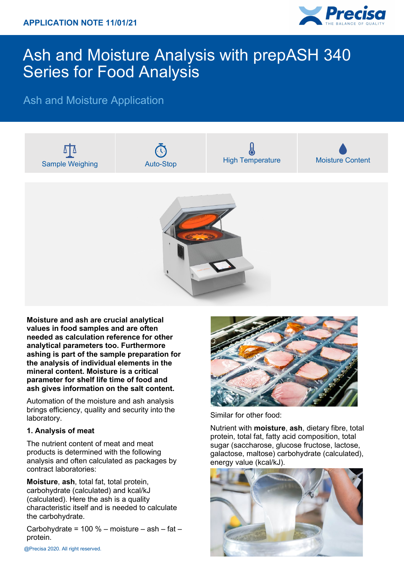

# Ash and Moisture Analysis with prepASH 340 Series for Food Analysis

## Ash and Moisture Application



**Moisture and ash are crucial analytical values in food samples and are often needed as calculation reference for other analytical parameters too. Furthermore ashing is part of the sample preparation for the analysis of individual elements in the mineral content. Moisture is a critical parameter for shelf life time of food and ash gives information on the salt content.**

Automation of the moisture and ash analysis brings efficiency, quality and security into the laboratory.

#### **1. Analysis of meat**

The nutrient content of meat and meat products is determined with the following analysis and often calculated as packages by contract laboratories:

**Moisture**, **ash**, total fat, total protein, carbohydrate (calculated) and kcal/kJ (calculated). Here the ash is a quality characteristic itself and is needed to calculate the carbohydrate.

Carbohydrate =  $100 %$  – moisture – ash – fat – protein.



Similar for other food:

Nutrient with **moisture**, **ash**, dietary fibre, total protein, total fat, fatty acid composition, total sugar (saccharose, glucose fructose, lactose, galactose, maltose) carbohydrate (calculated), energy value (kcal/kJ).

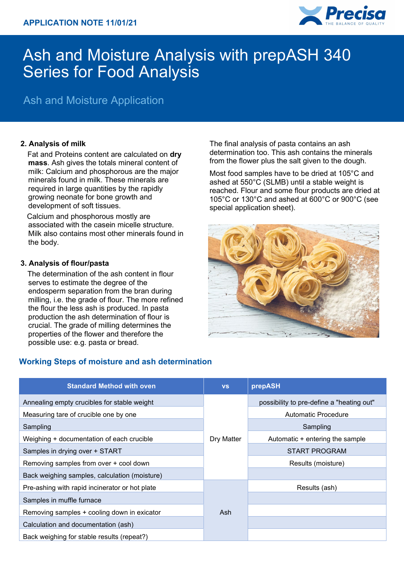

# Ash and Moisture Analysis with prepASH 340 Series for Food Analysis

## Ash and Moisture Application

### **2. Analysis of milk**

Fat and Proteins content are calculated on **dry mass**. Ash gives the totals mineral content of milk: Calcium and phosphorous are the major minerals found in milk. These minerals are required in large quantities by the rapidly growing neonate for bone growth and development of soft tissues.

Calcium and phosphorous mostly are associated with the casein micelle structure. Milk also contains most other minerals found in the body.

#### **3. Analysis of flour/pasta**

The determination of the ash content in flour serves to estimate the degree of the endosperm separation from the bran during milling, i.e. the grade of flour. The more refined the flour the less ash is produced. In pasta production the ash determination of flour is crucial. The grade of milling determines the properties of the flower and therefore the possible use: e.g. pasta or bread.

### **Working Steps of moisture and ash determination**

| <b>Standard Method with oven</b>               | <b>VS</b>  | prepASH                                   |
|------------------------------------------------|------------|-------------------------------------------|
| Annealing empty crucibles for stable weight    |            | possibility to pre-define a "heating out" |
| Measuring tare of crucible one by one          |            | <b>Automatic Procedure</b>                |
| Sampling                                       |            | Sampling                                  |
| Weighing + documentation of each crucible      | Dry Matter | Automatic + entering the sample           |
| Samples in drying over + START                 |            | <b>START PROGRAM</b>                      |
| Removing samples from over + cool down         |            | Results (moisture)                        |
| Back weighing samples, calculation (moisture)  |            |                                           |
| Pre-ashing with rapid incinerator or hot plate |            | Results (ash)                             |
| Samples in muffle furnace                      |            |                                           |
| Removing samples + cooling down in exicator    | Ash        |                                           |
| Calculation and documentation (ash)            |            |                                           |
| Back weighing for stable results (repeat?)     |            |                                           |

The final analysis of pasta contains an ash determination too. This ash contains the minerals from the flower plus the salt given to the dough.

Most food samples have to be dried at 105°C and ashed at 550°C (SLMB) until a stable weight is reached. Flour and some flour products are dried at 105°C or 130°C and ashed at 600°C or 900°C (see special application sheet).